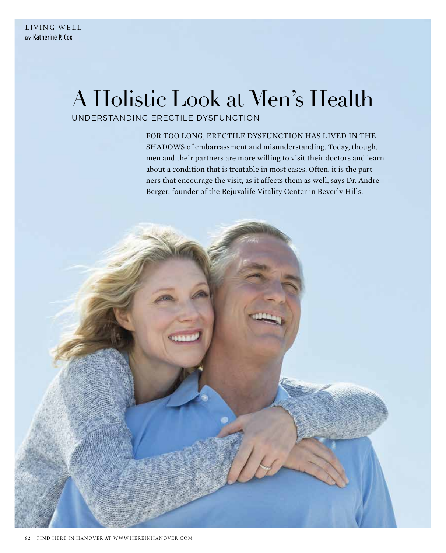## A Holistic Look at Men's Health

## UNDERSTANDING ERECTILE DYSFUNCTION

FOR TOO LONG, ERECTILE DYSFUNCTION HAS LIVED IN THE SHADOWS of embarrassment and misunderstanding. Today, though, men and their partners are more willing to visit their doctors and learn about a condition that is treatable in most cases. Often, it is the partners that encourage the visit, as it affects them as well, says Dr. Andre Berger, founder of the Rejuvalife Vitality Center in Beverly Hills.

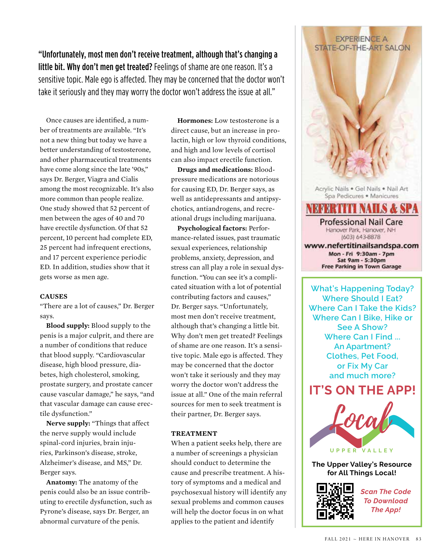"Unfortunately, most men don't receive treatment, although that's changing a little bit. Why don't men get treated? Feelings of shame are one reason. It's a sensitive topic. Male ego is affected. They may be concerned that the doctor won't take it seriously and they may worry the doctor won't address the issue at all."

Once causes are identified, a number of treatments are available. "It's not a new thing but today we have a better understanding of testosterone, and other pharmaceutical treatments have come along since the late '90s," says Dr. Berger, Viagra and Cialis among the most recognizable. It's also more common than people realize. One study showed that 52 percent of men between the ages of 40 and 70 have erectile dysfunction. Of that 52 percent, 10 percent had complete ED, 25 percent had infrequent erections, and 17 percent experience periodic ED. In addition, studies show that it gets worse as men age.

#### **CAUSES**

"There are a lot of causes," Dr. Berger says.

**Blood supply:** Blood supply to the penis is a major culprit, and there are a number of conditions that reduce that blood supply. "Cardiovascular disease, high blood pressure, diabetes, high cholesterol, smoking, prostate surgery, and prostate cancer cause vascular damage," he says, "and that vascular damage can cause erectile dysfunction."

**Nerve supply:** "Things that affect the nerve supply would include spinal-cord injuries, brain injuries, Parkinson's disease, stroke, Alzheimer's disease, and MS," Dr. Berger says.

**Anatomy:** The anatomy of the penis could also be an issue contributing to erectile dysfunction, such as Pyrone's disease, says Dr. Berger, an abnormal curvature of the penis.

**Hormones:** Low testosterone is a direct cause, but an increase in prolactin, high or low thyroid conditions, and high and low levels of cortisol can also impact erectile function.

**Drugs and medications:** Bloodpressure medications are notorious for causing ED, Dr. Berger says, as well as antidepressants and antipsychotics, antiandrogens, and recreational drugs including marijuana.

**Psychological factors:** Performance-related issues, past traumatic sexual experiences, relationship problems, anxiety, depression, and stress can all play a role in sexual dysfunction. "You can see it's a complicated situation with a lot of potential contributing factors and causes," Dr. Berger says. "Unfortunately, most men don't receive treatment, although that's changing a little bit. Why don't men get treated? Feelings of shame are one reason. It's a sensitive topic. Male ego is affected. They may be concerned that the doctor won't take it seriously and they may worry the doctor won't address the issue at all." One of the main referral sources for men to seek treatment is their partner, Dr. Berger says.

#### **TREATMENT**

When a patient seeks help, there are a number of screenings a physician should conduct to determine the cause and prescribe treatment. A history of symptoms and a medical and psychosexual history will identify any sexual problems and common causes will help the doctor focus in on what applies to the patient and identify

Acrylic Nails . Gel Nails . Nail Art Spa Pedicures . Manicures **Professional Nail Care** Hanover Park, Hanover, NH (603) 643-8878 www.nefertitinailsandspa.com Mon - Fri 9:30am - 7pm Sat 9am - 5:30pm **Free Parking in Town Garage** 

**EXPERIENCE A STATE-OF-THE-ART SALON** 

**What's Happening Today? Where Should I Eat? Where Can I Take the Kids? Where Can I Bike, Hike or See A Show? Where Can I Find ... An Apartment? Clothes, Pet Food, or Fix My Car and much more?**

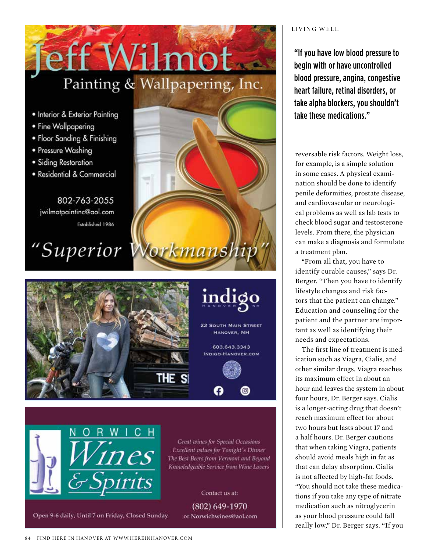# 10 Painting & Wallpapering, Inc.

- Interior & Exterior Painting
- Fine Wallpapering
- · Floor Sanding & Finishing
- · Pressure Washing
- · Siding Restoration
- · Residential & Commercial

802-763-2055 jwilmotpaintinc@aol.com Established 1986

"Superior Workmanship





Great wines for Special Occasions Excellent values for Tonight's Dinner The Best Beers from Vermont and Beyond Knowledgeable Service from Wine Lovers

Contact us at:

 $(802) 649 - 1970$ or Norwichwines@aol.com

### LIVING WELL

"If you have low blood pressure to begin with or have uncontrolled blood pressure, angina, congestive heart failure, retinal disorders, or take alpha blockers, you shouldn't take these medications."

reversable risk factors. Weight loss, for example, is a simple solution in some cases. A physical examination should be done to identify penile deformities, prostate disease, and cardiovascular or neurological problems as well as lab tests to check blood sugar and testosterone levels. From there, the physician can make a diagnosis and formulate a treatment plan.

"From all that, you have to identify curable causes," says Dr. Berger. "Then you have to identify lifestyle changes and risk factors that the patient can change." Education and counseling for the patient and the partner are important as well as identifying their needs and expectations.

The first line of treatment is medication such as Viagra, Cialis, and other similar drugs. Viagra reaches its maximum effect in about an hour and leaves the system in about four hours, Dr. Berger says. Cialis is a longer-acting drug that doesn't reach maximum effect for about two hours but lasts about 17 and a half hours. Dr. Berger cautions that when taking Viagra, patients should avoid meals high in fat as that can delay absorption. Cialis is not affected by high-fat foods. "You should not take these medications if you take any type of nitrate medication such as nitroglycerin as your blood pressure could fall really low," Dr. Berger says. "If you

Open 9-6 daily, Until 7 on Friday, Closed Sunday